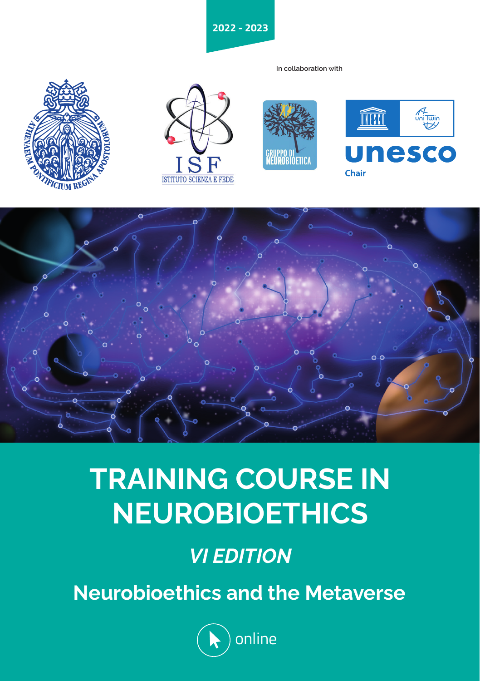**2022 - 2023**

**In collaboration with**











# **TRAINING COURSE IN NEUROBIOETHICS**

# *VI EDITION*

**Neurobioethics and the Metaverse**

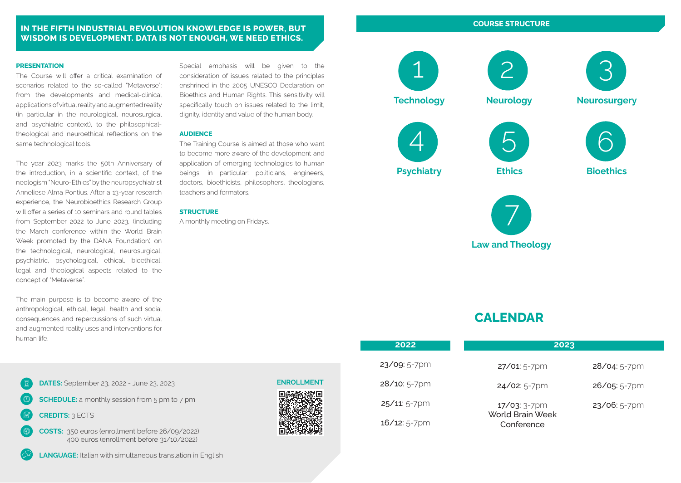#### **IN THE FIFTH INDUSTRIAL REVOLUTION KNOWLEDGE IS POWER, BUT WISDOM IS DEVELOPMENT. DATA IS NOT ENOUGH, WE NEED ETHICS.**

#### **PRESENTATION**

The Course will offer a critical examination of scenarios related to the so-called "Metaverse": from the developments and medical-clinical applications of virtual reality and augmented reality (in particular in the neurological, neurosurgical and psychiatric context), to the philosophicaltheological and neuroethical reflections on the same technological tools.

The year 2023 marks the 50th Anniversary of the introduction, in a scientific context, of the neologism "Neuro-Ethics" by the neuropsychiatrist Anneliese Alma Pontius. After a 13-year research experience, the Neurobioethics Research Group will offer a series of 10 seminars and round tables from September 2022 to June 2023, (including the March conference within the World Brain Week promoted by the DANA Foundation) on the technological, neurological, neurosurgical, psychiatric, psychological, ethical, bioethical, legal and theological aspects related to the concept of "Metaverse".

The main purpose is to become aware of the anthropological, ethical, legal, health and social consequences and repercussions of such virtual and augmented reality uses and interventions for human life.



**SCHEDULE:** a monthly session from 5 pm to 7 pm

**CREDITS:** 3 ECTS



**LANGUAGE:** Italian with simultaneous translation in English

Special emphasis will be given to the consideration of issues related to the principles enshrined in the 2005 UNESCO Declaration on Bioethics and Human Rights. This sensitivity will specifically touch on issues related to the limit, dignity, identity and value of the human body.

#### **AUDIENCE**

The Training Course is aimed at those who want to become more aware of the development and application of emerging technologies to human beings; in particular: politicians, engineers, doctors, bioethicists, philosophers, theologians, teachers and formators.

#### **STRUCTURE**

A monthly meeting on Fridays.

**COURSE STRUCTURE** 2

**Technology**

1



**Neurosurgery**

3







6 **Bioethics**



# **CALENDAR**

| 2022           | 2023                           |                |
|----------------|--------------------------------|----------------|
| 23/09: 5-7pm   | $27/01:5-7$ pm                 | $28/04:5-7$ pm |
| $28/10:5-7$ pm | $24/02:5-7$ pm                 | $26/05:5-7$ pm |
| 25/11: 5-7pm   | 17/03: 3-7pm                   | $23/06:5-7$ pm |
| 16/12: 5-7pm   | World Brain Week<br>Conference |                |

#### **ENROLLMENT**